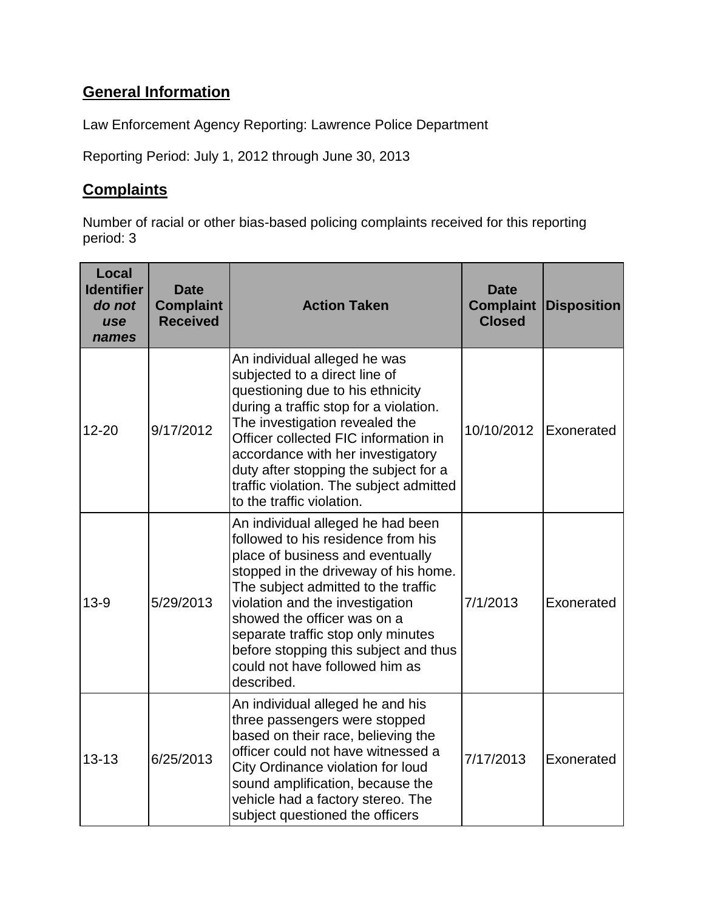# **General Information**

Law Enforcement Agency Reporting: Lawrence Police Department

Reporting Period: July 1, 2012 through June 30, 2013

### **Complaints**

Number of racial or other bias-based policing complaints received for this reporting period: 3

| Local<br><b>Identifier</b><br>do not<br>use<br>names | <b>Date</b><br><b>Complaint</b><br><b>Received</b> | <b>Action Taken</b>                                                                                                                                                                                                                                                                                                                                                                         | <b>Date</b><br><b>Complaint</b><br><b>Closed</b> | <b>Disposition</b> |
|------------------------------------------------------|----------------------------------------------------|---------------------------------------------------------------------------------------------------------------------------------------------------------------------------------------------------------------------------------------------------------------------------------------------------------------------------------------------------------------------------------------------|--------------------------------------------------|--------------------|
| $12 - 20$                                            | 9/17/2012                                          | An individual alleged he was<br>subjected to a direct line of<br>questioning due to his ethnicity<br>during a traffic stop for a violation.<br>The investigation revealed the<br>Officer collected FIC information in<br>accordance with her investigatory<br>duty after stopping the subject for a<br>traffic violation. The subject admitted<br>to the traffic violation.                 | 10/10/2012                                       | Exonerated         |
| $13-9$                                               | 5/29/2013                                          | An individual alleged he had been<br>followed to his residence from his<br>place of business and eventually<br>stopped in the driveway of his home.<br>The subject admitted to the traffic<br>violation and the investigation<br>showed the officer was on a<br>separate traffic stop only minutes<br>before stopping this subject and thus<br>could not have followed him as<br>described. | 7/1/2013                                         | Exonerated         |
| $13 - 13$                                            | 6/25/2013                                          | An individual alleged he and his<br>three passengers were stopped<br>based on their race, believing the<br>officer could not have witnessed a<br>City Ordinance violation for loud<br>sound amplification, because the<br>vehicle had a factory stereo. The<br>subject questioned the officers                                                                                              | 7/17/2013                                        | Exonerated         |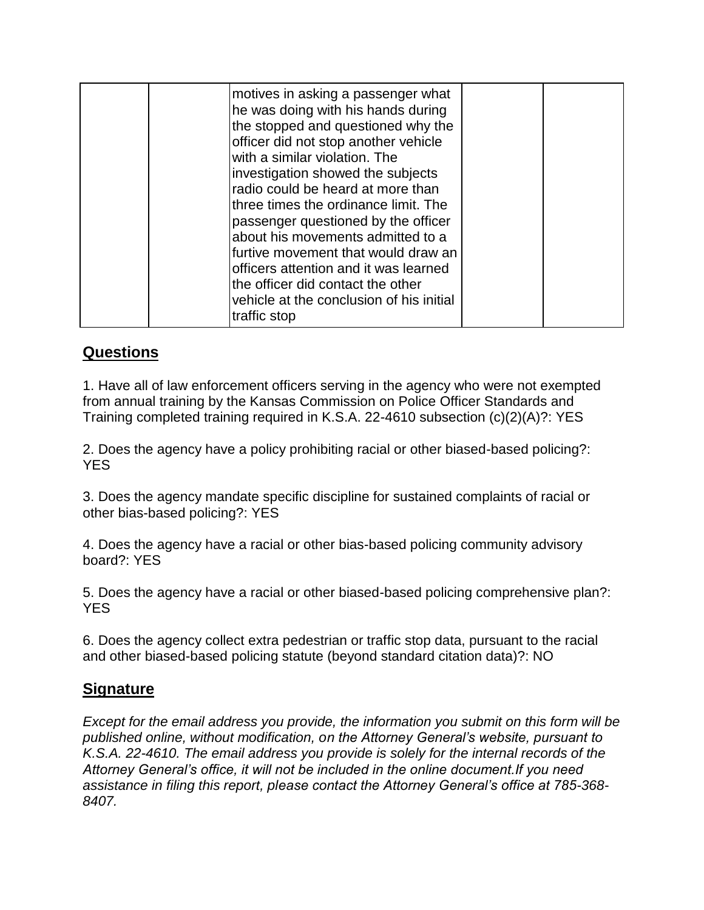| motives in asking a passenger what<br>he was doing with his hands during<br>the stopped and questioned why the<br>officer did not stop another vehicle<br>with a similar violation. The<br>investigation showed the subjects<br>radio could be heard at more than<br>three times the ordinance limit. The<br>passenger questioned by the officer<br>about his movements admitted to a<br>furtive movement that would draw an<br>officers attention and it was learned<br>the officer did contact the other<br>vehicle at the conclusion of his initial |  |
|--------------------------------------------------------------------------------------------------------------------------------------------------------------------------------------------------------------------------------------------------------------------------------------------------------------------------------------------------------------------------------------------------------------------------------------------------------------------------------------------------------------------------------------------------------|--|
| traffic stop                                                                                                                                                                                                                                                                                                                                                                                                                                                                                                                                           |  |

## **Questions**

1. Have all of law enforcement officers serving in the agency who were not exempted from annual training by the Kansas Commission on Police Officer Standards and Training completed training required in K.S.A. 22-4610 subsection (c)(2)(A)?: YES

2. Does the agency have a policy prohibiting racial or other biased-based policing?: YES

3. Does the agency mandate specific discipline for sustained complaints of racial or other bias-based policing?: YES

4. Does the agency have a racial or other bias-based policing community advisory board?: YES

5. Does the agency have a racial or other biased-based policing comprehensive plan?: YES

6. Does the agency collect extra pedestrian or traffic stop data, pursuant to the racial and other biased-based policing statute (beyond standard citation data)?: NO

### **Signature**

*Except for the email address you provide, the information you submit on this form will be published online, without modification, on the Attorney General's website, pursuant to K.S.A. 22-4610. The email address you provide is solely for the internal records of the Attorney General's office, it will not be included in the online document.If you need assistance in filing this report, please contact the Attorney General's office at 785-368- 8407.*